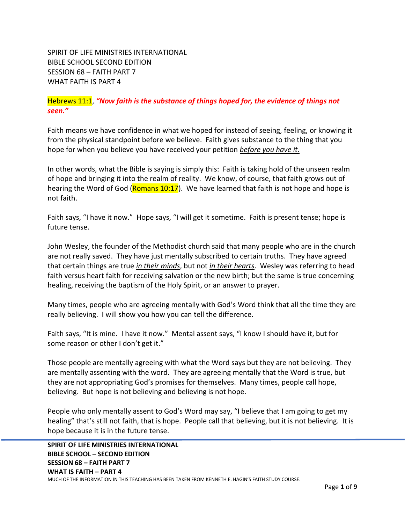SPIRIT OF LIFE MINISTRIES INTERNATIONAL BIBLE SCHOOL SECOND EDITION SESSION 68 – FAITH PART 7 WHAT FAITH IS PART 4

Hebrews 11:1, *"Now faith is the substance of things hoped for, the evidence of things not seen."*

Faith means we have confidence in what we hoped for instead of seeing, feeling, or knowing it from the physical standpoint before we believe. Faith gives substance to the thing that you hope for when you believe you have received your petition *before you have it.*

In other words, what the Bible is saying is simply this: Faith is taking hold of the unseen realm of hope and bringing it into the realm of reality. We know, of course, that faith grows out of hearing the Word of God (Romans 10:17). We have learned that faith is not hope and hope is not faith.

Faith says, "I have it now." Hope says, "I will get it sometime. Faith is present tense; hope is future tense.

John Wesley, the founder of the Methodist church said that many people who are in the church are not really saved. They have just mentally subscribed to certain truths. They have agreed that certain things are true *in their minds*, but not *in their hearts*. Wesley was referring to head faith versus heart faith for receiving salvation or the new birth; but the same is true concerning healing, receiving the baptism of the Holy Spirit, or an answer to prayer.

Many times, people who are agreeing mentally with God's Word think that all the time they are really believing. I will show you how you can tell the difference.

Faith says, "It is mine. I have it now." Mental assent says, "I know I should have it, but for some reason or other I don't get it."

Those people are mentally agreeing with what the Word says but they are not believing. They are mentally assenting with the word. They are agreeing mentally that the Word is true, but they are not appropriating God's promises for themselves. Many times, people call hope, believing. But hope is not believing and believing is not hope.

People who only mentally assent to God's Word may say, "I believe that I am going to get my healing" that's still not faith, that is hope. People call that believing, but it is not believing. It is hope because it is in the future tense.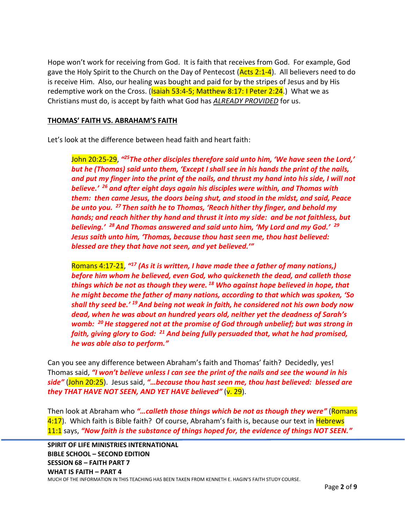Hope won't work for receiving from God. It is faith that receives from God. For example, God gave the Holy Spirit to the Church on the Day of Pentecost  $(Acts 2:1-4)$ . All believers need to do is receive Him. Also, our healing was bought and paid for by the stripes of Jesus and by His redemptive work on the Cross. (Isaiah 53:4-5; Matthew 8:17: I Peter 2:24.) What we as Christians must do, is accept by faith what God has *ALREADY PROVIDED* for us.

## **THOMAS' FAITH VS. ABRAHAM'S FAITH**

Let's look at the difference between head faith and heart faith:

John 20:25-29, *" <sup>25</sup>The other disciples therefore said unto him, 'We have seen the Lord,' but he (Thomas) said unto them, 'Except I shall see in his hands the print of the nails, and put my finger into the print of the nails, and thrust my hand into his side, I will not believe.' <sup>26</sup> and after eight days again his disciples were within, and Thomas with them: then came Jesus, the doors being shut, and stood in the midst, and said, Peace be unto you. <sup>27</sup> Then saith he to Thomas, 'Reach hither thy finger, and behold my hands; and reach hither thy hand and thrust it into my side: and be not faithless, but believing.' <sup>28</sup>And Thomas answered and said unto him, 'My Lord and my God.' 29 Jesus saith unto him, 'Thomas, because thou hast seen me, thou hast believed: blessed are they that have not seen, and yet believed.'"*

Romans 4:17-21, *" <sup>17</sup> (As it is written, I have made thee a father of many nations,) before him whom he believed, even God, who quickeneth the dead, and calleth those things which be not as though they were. <sup>18</sup> Who against hope believed in hope, that he might become the father of many nations, according to that which was spoken, 'So shall thy seed be.' <sup>19</sup>And being not weak in faith, he considered not his own body now dead, when he was about an hundred years old, neither yet the deadness of Sarah's womb: <sup>20</sup>He staggered not at the promise of God through unbelief; but was strong in faith, giving glory to God: <sup>21</sup> And being fully persuaded that, what he had promised, he was able also to perform."*

Can you see any difference between Abraham's faith and Thomas' faith? Decidedly, yes! Thomas said, *"I won't believe unless I can see the print of the nails and see the wound in his side"* (John 20:25). Jesus said, *"…because thou hast seen me, thou hast believed: blessed are they THAT HAVE NOT SEEN, AND YET HAVE believed"* (v. 29).

Then look at Abraham who *"…calleth those things which be not as though they were"* (Romans 4:17). Which faith is Bible faith? Of course, Abraham's faith is, because our text in Hebrews 11:1 says, *"Now faith is the substance of things hoped for, the evidence of things NOT SEEN."*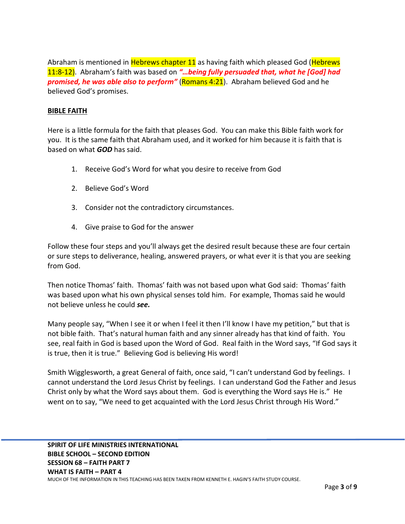Abraham is mentioned in **Hebrews chapter 11** as having faith which pleased God (Hebrews 11:8-12). Abraham's faith was based on *"…being fully persuaded that, what he [God] had promised, he was able also to perform"* (Romans 4:21). Abraham believed God and he believed God's promises.

# **BIBLE FAITH**

Here is a little formula for the faith that pleases God. You can make this Bible faith work for you. It is the same faith that Abraham used, and it worked for him because it is faith that is based on what *GOD* has said.

- 1. Receive God's Word for what you desire to receive from God
- 2. Believe God's Word
- 3. Consider not the contradictory circumstances.
- 4. Give praise to God for the answer

Follow these four steps and you'll always get the desired result because these are four certain or sure steps to deliverance, healing, answered prayers, or what ever it is that you are seeking from God.

Then notice Thomas' faith. Thomas' faith was not based upon what God said: Thomas' faith was based upon what his own physical senses told him. For example, Thomas said he would not believe unless he could *see.*

Many people say, "When I see it or when I feel it then I'll know I have my petition," but that is not bible faith. That's natural human faith and any sinner already has that kind of faith. You see, real faith in God is based upon the Word of God. Real faith in the Word says, "If God says it is true, then it is true." Believing God is believing His word!

Smith Wigglesworth, a great General of faith, once said, "I can't understand God by feelings. I cannot understand the Lord Jesus Christ by feelings. I can understand God the Father and Jesus Christ only by what the Word says about them. God is everything the Word says He is." He went on to say, "We need to get acquainted with the Lord Jesus Christ through His Word."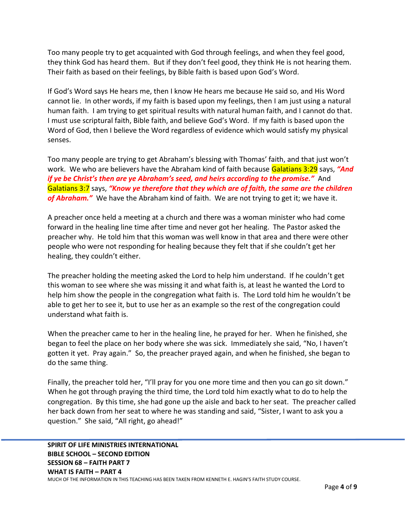Too many people try to get acquainted with God through feelings, and when they feel good, they think God has heard them. But if they don't feel good, they think He is not hearing them. Their faith as based on their feelings, by Bible faith is based upon God's Word.

If God's Word says He hears me, then I know He hears me because He said so, and His Word cannot lie. In other words, if my faith is based upon my feelings, then I am just using a natural human faith. I am trying to get spiritual results with natural human faith, and I cannot do that. I must use scriptural faith, Bible faith, and believe God's Word. If my faith is based upon the Word of God, then I believe the Word regardless of evidence which would satisfy my physical senses.

Too many people are trying to get Abraham's blessing with Thomas' faith, and that just won't work. We who are believers have the Abraham kind of faith because Galatians 3:29 says, *"And if ye be Christ's then are ye Abraham's seed, and heirs according to the promise."* And Galatians 3:7 says, *"Know ye therefore that they which are of faith, the same are the children of Abraham."* We have the Abraham kind of faith. We are not trying to get it; we have it.

A preacher once held a meeting at a church and there was a woman minister who had come forward in the healing line time after time and never got her healing. The Pastor asked the preacher why. He told him that this woman was well know in that area and there were other people who were not responding for healing because they felt that if she couldn't get her healing, they couldn't either.

The preacher holding the meeting asked the Lord to help him understand. If he couldn't get this woman to see where she was missing it and what faith is, at least he wanted the Lord to help him show the people in the congregation what faith is. The Lord told him he wouldn't be able to get her to see it, but to use her as an example so the rest of the congregation could understand what faith is.

When the preacher came to her in the healing line, he prayed for her. When he finished, she began to feel the place on her body where she was sick. Immediately she said, "No, I haven't gotten it yet. Pray again." So, the preacher prayed again, and when he finished, she began to do the same thing.

Finally, the preacher told her, "I'll pray for you one more time and then you can go sit down." When he got through praying the third time, the Lord told him exactly what to do to help the congregation. By this time, she had gone up the aisle and back to her seat. The preacher called her back down from her seat to where he was standing and said, "Sister, I want to ask you a question." She said, "All right, go ahead!"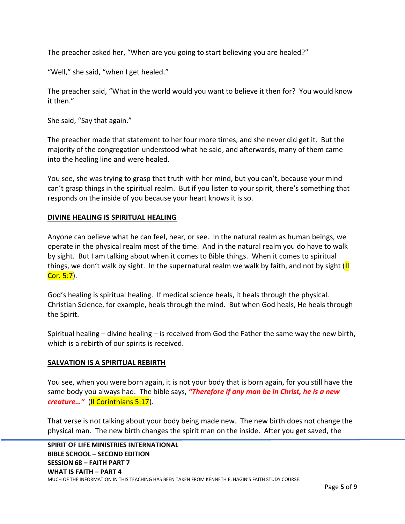The preacher asked her, "When are you going to start believing you are healed?"

"Well," she said, "when I get healed."

The preacher said, "What in the world would you want to believe it then for? You would know it then."

She said, "Say that again."

The preacher made that statement to her four more times, and she never did get it. But the majority of the congregation understood what he said, and afterwards, many of them came into the healing line and were healed.

You see, she was trying to grasp that truth with her mind, but you can't, because your mind can't grasp things in the spiritual realm. But if you listen to your spirit, there's something that responds on the inside of you because your heart knows it is so.

### **DIVINE HEALING IS SPIRITUAL HEALING**

Anyone can believe what he can feel, hear, or see. In the natural realm as human beings, we operate in the physical realm most of the time. And in the natural realm you do have to walk by sight. But I am talking about when it comes to Bible things. When it comes to spiritual things, we don't walk by sight. In the supernatural realm we walk by faith, and not by sight  $\left|\mathbf{l}\right|$ Cor. 5:7).

God's healing is spiritual healing. If medical science heals, it heals through the physical. Christian Science, for example, heals through the mind. But when God heals, He heals through the Spirit.

Spiritual healing – divine healing – is received from God the Father the same way the new birth, which is a rebirth of our spirits is received.

## **SALVATION IS A SPIRITUAL REBIRTH**

You see, when you were born again, it is not your body that is born again, for you still have the same body you always had. The bible says, *"Therefore if any man be in Christ, he is a new creature…"* (II Corinthians 5:17).

That verse is not talking about your body being made new. The new birth does not change the physical man. The new birth changes the spirit man on the inside. After you get saved, the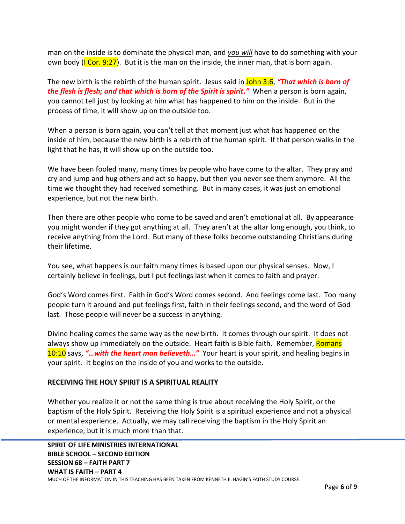man on the inside is to dominate the physical man, and *you will* have to do something with your own body ( $\overline{ICor. 9:27}$ ). But it is the man on the inside, the inner man, that is born again.

The new birth is the rebirth of the human spirit. Jesus said in John 3:6, *"That which is born of the flesh is flesh; and that which is born of the Spirit is spirit."* When a person is born again, you cannot tell just by looking at him what has happened to him on the inside. But in the process of time, it will show up on the outside too.

When a person is born again, you can't tell at that moment just what has happened on the inside of him, because the new birth is a rebirth of the human spirit. If that person walks in the light that he has, it will show up on the outside too.

We have been fooled many, many times by people who have come to the altar. They pray and cry and jump and hug others and act so happy, but then you never see them anymore. All the time we thought they had received something. But in many cases, it was just an emotional experience, but not the new birth.

Then there are other people who come to be saved and aren't emotional at all. By appearance you might wonder if they got anything at all. They aren't at the altar long enough, you think, to receive anything from the Lord. But many of these folks become outstanding Christians during their lifetime.

You see, what happens is our faith many times is based upon our physical senses. Now, I certainly believe in feelings, but I put feelings last when it comes to faith and prayer.

God's Word comes first. Faith in God's Word comes second. And feelings come last. Too many people turn it around and put feelings first, faith in their feelings second, and the word of God last. Those people will never be a success in anything.

Divine healing comes the same way as the new birth. It comes through our spirit. It does not always show up immediately on the outside. Heart faith is Bible faith. Remember, Romans 10:10 says, *"…with the heart man believeth…"* Your heart is your spirit, and healing begins in your spirit. It begins on the inside of you and works to the outside.

#### **RECEIVING THE HOLY SPIRIT IS A SPIRITUAL REALITY**

Whether you realize it or not the same thing is true about receiving the Holy Spirit, or the baptism of the Holy Spirit. Receiving the Holy Spirit is a spiritual experience and not a physical or mental experience. Actually, we may call receiving the baptism in the Holy Spirit an experience, but it is much more than that.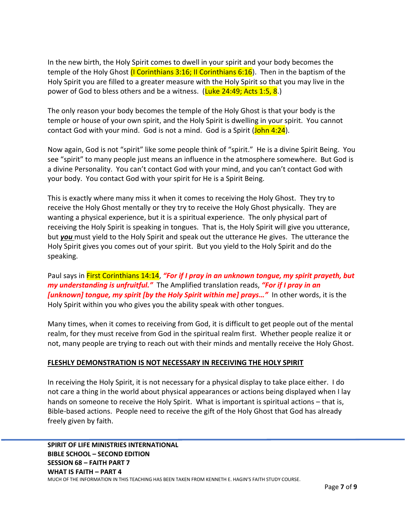In the new birth, the Holy Spirit comes to dwell in your spirit and your body becomes the temple of the Holy Ghost (I Corinthians 3:16; II Corinthians 6:16). Then in the baptism of the Holy Spirit you are filled to a greater measure with the Holy Spirit so that you may live in the power of God to bless others and be a witness. (Luke 24:49; Acts 1:5, 8.)

The only reason your body becomes the temple of the Holy Ghost is that your body is the temple or house of your own spirit, and the Holy Spirit is dwelling in your spirit. You cannot contact God with your mind. God is not a mind. God is a Spirit (John 4:24).

Now again, God is not "spirit" like some people think of "spirit." He is a divine Spirit Being. You see "spirit" to many people just means an influence in the atmosphere somewhere. But God is a divine Personality. You can't contact God with your mind, and you can't contact God with your body. You contact God with your spirit for He is a Spirit Being.

This is exactly where many miss it when it comes to receiving the Holy Ghost. They try to receive the Holy Ghost mentally or they try to receive the Holy Ghost physically. They are wanting a physical experience, but it is a spiritual experience. The only physical part of receiving the Holy Spirit is speaking in tongues. That is, the Holy Spirit will give you utterance, but *you* must yield to the Holy Spirit and speak out the utterance He gives. The utterance the Holy Spirit gives you comes out of your spirit. But you yield to the Holy Spirit and do the speaking.

Paul says in First Corinthians 14:14, *"For if I pray in an unknown tongue, my spirit prayeth, but my understanding is unfruitful."* The Amplified translation reads, *"For if I pray in an [unknown] tongue, my spirit [by the Holy Spirit within me] prays…"* In other words, it is the Holy Spirit within you who gives you the ability speak with other tongues.

Many times, when it comes to receiving from God, it is difficult to get people out of the mental realm, for they must receive from God in the spiritual realm first. Whether people realize it or not, many people are trying to reach out with their minds and mentally receive the Holy Ghost.

## **FLESHLY DEMONSTRATION IS NOT NECESSARY IN RECEIVING THE HOLY SPIRIT**

In receiving the Holy Spirit, it is not necessary for a physical display to take place either. I do not care a thing in the world about physical appearances or actions being displayed when I lay hands on someone to receive the Holy Spirit. What is important is spiritual actions – that is, Bible-based actions. People need to receive the gift of the Holy Ghost that God has already freely given by faith.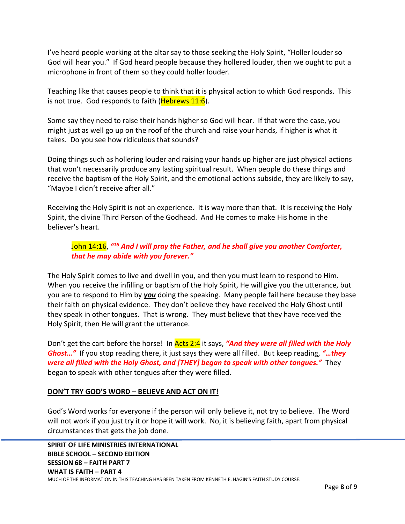I've heard people working at the altar say to those seeking the Holy Spirit, "Holler louder so God will hear you." If God heard people because they hollered louder, then we ought to put a microphone in front of them so they could holler louder.

Teaching like that causes people to think that it is physical action to which God responds. This is not true. God responds to faith ( $Hebrews$  11:6).

Some say they need to raise their hands higher so God will hear. If that were the case, you might just as well go up on the roof of the church and raise your hands, if higher is what it takes. Do you see how ridiculous that sounds?

Doing things such as hollering louder and raising your hands up higher are just physical actions that won't necessarily produce any lasting spiritual result. When people do these things and receive the baptism of the Holy Spirit, and the emotional actions subside, they are likely to say, "Maybe I didn't receive after all."

Receiving the Holy Spirit is not an experience. It is way more than that. It is receiving the Holy Spirit, the divine Third Person of the Godhead. And He comes to make His home in the believer's heart.

# John 14:16, *" <sup>16</sup> And I will pray the Father, and he shall give you another Comforter, that he may abide with you forever."*

The Holy Spirit comes to live and dwell in you, and then you must learn to respond to Him. When you receive the infilling or baptism of the Holy Spirit, He will give you the utterance, but you are to respond to Him by *you* doing the speaking. Many people fail here because they base their faith on physical evidence. They don't believe they have received the Holy Ghost until they speak in other tongues. That is wrong. They must believe that they have received the Holy Spirit, then He will grant the utterance.

Don't get the cart before the horse! In Acts 2:4 it says, *"And they were all filled with the Holy Ghost…"* If you stop reading there, it just says they were all filled. But keep reading, *"…they were all filled with the Holy Ghost, and [THEY] began to speak with other tongues."* They began to speak with other tongues after they were filled.

## **DON'T TRY GOD'S WORD – BELIEVE AND ACT ON IT!**

God's Word works for everyone if the person will only believe it, not try to believe. The Word will not work if you just try it or hope it will work. No, it is believing faith, apart from physical circumstances that gets the job done.